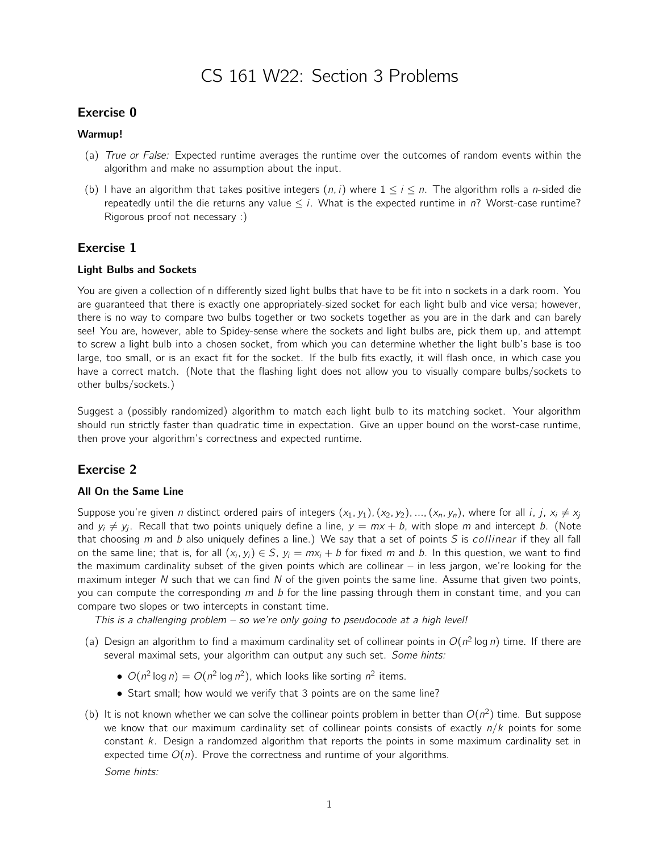# CS 161 W22: Section 3 Problems

## Exercise 0

#### Warmup!

- (a) True or False: Expected runtime averages the runtime over the outcomes of random events within the algorithm and make no assumption about the input.
- (b) I have an algorithm that takes positive integers  $(n, i)$  where  $1 \le i \le n$ . The algorithm rolls a *n*-sided die repeatedly until the die returns any value  $\leq i$ . What is the expected runtime in n? Worst-case runtime? Rigorous proof not necessary :)

## Exercise 1

#### Light Bulbs and Sockets

You are given a collection of n differently sized light bulbs that have to be fit into n sockets in a dark room. You are guaranteed that there is exactly one appropriately-sized socket for each light bulb and vice versa; however, there is no way to compare two bulbs together or two sockets together as you are in the dark and can barely see! You are, however, able to Spidey-sense where the sockets and light bulbs are, pick them up, and attempt to screw a light bulb into a chosen socket, from which you can determine whether the light bulb's base is too large, too small, or is an exact fit for the socket. If the bulb fits exactly, it will flash once, in which case you have a correct match. (Note that the flashing light does not allow you to visually compare bulbs/sockets to other bulbs/sockets.)

Suggest a (possibly randomized) algorithm to match each light bulb to its matching socket. Your algorithm should run strictly faster than quadratic time in expectation. Give an upper bound on the worst-case runtime, then prove your algorithm's correctness and expected runtime.

## Exercise 2

### All On the Same Line

Suppose you're given *n* distinct ordered pairs of integers  $(x_1, y_1), (x_2, y_2), ..., (x_n, y_n)$ , where for all *i*, *j*,  $x_i \neq x_j$ and  $y_i \neq y_j$ . Recall that two points uniquely define a line,  $y = mx + b$ , with slope m and intercept b. (Note that choosing  $m$  and  $b$  also uniquely defines a line.) We say that a set of points  $S$  is collinear if they all fall on the same line; that is, for all  $(x_i, y_i) \in S$ ,  $y_i = mx_i + b$  for fixed m and b. In this question, we want to find the maximum cardinality subset of the given points which are collinear – in less jargon, we're looking for the maximum integer  $N$  such that we can find  $N$  of the given points the same line. Assume that given two points, you can compute the corresponding  $m$  and  $b$  for the line passing through them in constant time, and you can compare two slopes or two intercepts in constant time.

This is a challenging problem  $-$  so we're only going to pseudocode at a high level!

- (a) Design an algorithm to find a maximum cardinality set of collinear points in  $O(n^2 \log n)$  time. If there are several maximal sets, your algorithm can output any such set. Some hints:
	- $O(n^2 \log n) = O(n^2 \log n^2)$ , which looks like sorting  $n^2$  items.
	- Start small; how would we verify that 3 points are on the same line?
- (b) It is not known whether we can solve the collinear points problem in better than  $O(n^2)$  time. But suppose we know that our maximum cardinality set of collinear points consists of exactly  $n/k$  points for some constant k. Design a randomzed algorithm that reports the points in some maximum cardinality set in expected time  $O(n)$ . Prove the correctness and runtime of your algorithms. Some hints:

1